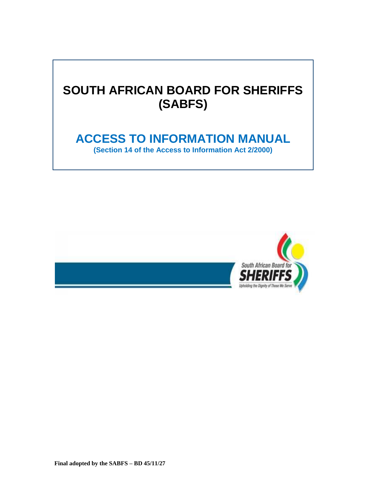# **SOUTH AFRICAN BOARD FOR SHERIFFS (SABFS)**

## **ACCESS TO INFORMATION MANUAL**

**(Section 14 of the Access to Information Act 2/2000)**

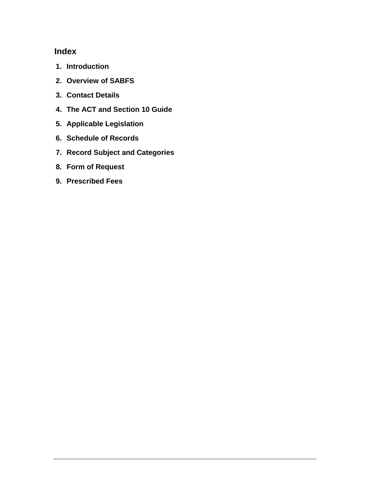## **Index**

- **1. Introduction**
- **2. Overview of SABFS**
- **3. Contact Details**
- **4. The ACT and Section 10 Guide**
- **5. Applicable Legislation**
- **6. Schedule of Records**
- **7. Record Subject and Categories**
- **8. Form of Request**
- **9. Prescribed Fees**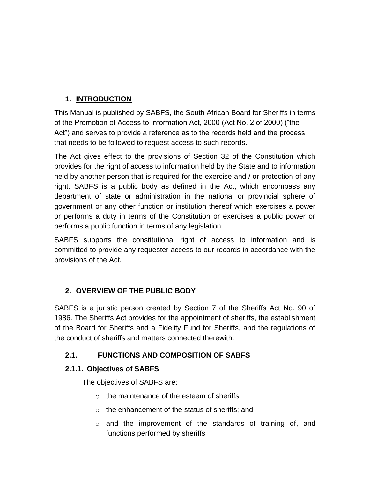## **1. INTRODUCTION**

This Manual is published by SABFS, the South African Board for Sheriffs in terms of the Promotion of Access to Information Act, 2000 (Act No. 2 of 2000) ("the Act") and serves to provide a reference as to the records held and the process that needs to be followed to request access to such records.

The Act gives effect to the provisions of Section 32 of the Constitution which provides for the right of access to information held by the State and to information held by another person that is required for the exercise and / or protection of any right. SABFS is a public body as defined in the Act, which encompass any department of state or administration in the national or provincial sphere of government or any other function or institution thereof which exercises a power or performs a duty in terms of the Constitution or exercises a public power or performs a public function in terms of any legislation.

SABFS supports the constitutional right of access to information and is committed to provide any requester access to our records in accordance with the provisions of the Act.

#### **2. OVERVIEW OF THE PUBLIC BODY**

SABFS is a juristic person created by Section 7 of the Sheriffs Act No. 90 of 1986. The Sheriffs Act provides for the appointment of sheriffs, the establishment of the Board for Sheriffs and a Fidelity Fund for Sheriffs, and the regulations of the conduct of sheriffs and matters connected therewith.

## **2.1. FUNCTIONS AND COMPOSITION OF SABFS**

#### **2.1.1. Objectives of SABFS**

The objectives of SABFS are:

- o the maintenance of the esteem of sheriffs;
- o the enhancement of the status of sheriffs; and
- o and the improvement of the standards of training of, and functions performed by sheriffs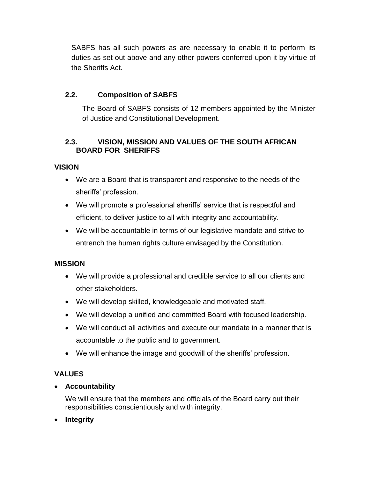SABFS has all such powers as are necessary to enable it to perform its duties as set out above and any other powers conferred upon it by virtue of the Sheriffs Act.

#### **2.2. Composition of SABFS**

The Board of SABFS consists of 12 members appointed by the Minister of Justice and Constitutional Development.

#### **2.3. VISION, MISSION AND VALUES OF THE SOUTH AFRICAN BOARD FOR SHERIFFS**

#### **VISION**

- We are a Board that is transparent and responsive to the needs of the sheriffs' profession.
- We will promote a professional sheriffs' service that is respectful and efficient, to deliver justice to all with integrity and accountability.
- We will be accountable in terms of our legislative mandate and strive to entrench the human rights culture envisaged by the Constitution.

#### **MISSION**

- We will provide a professional and credible service to all our clients and other stakeholders.
- We will develop skilled, knowledgeable and motivated staff.
- We will develop a unified and committed Board with focused leadership.
- We will conduct all activities and execute our mandate in a manner that is accountable to the public and to government.
- We will enhance the image and goodwill of the sheriffs' profession.

#### **VALUES**

**Accountability**

We will ensure that the members and officials of the Board carry out their responsibilities conscientiously and with integrity.

**Integrity**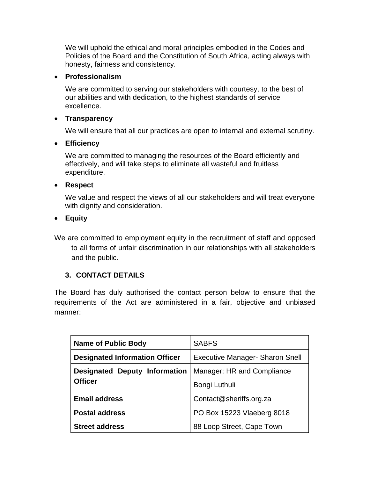We will uphold the ethical and moral principles embodied in the Codes and Policies of the Board and the Constitution of South Africa, acting always with honesty, fairness and consistency.

#### **Professionalism**

We are committed to serving our stakeholders with courtesy, to the best of our abilities and with dedication, to the highest standards of service excellence.

#### **Transparency**

We will ensure that all our practices are open to internal and external scrutiny.

#### **Efficiency**

We are committed to managing the resources of the Board efficiently and effectively, and will take steps to eliminate all wasteful and fruitless expenditure.

#### **Respect**

We value and respect the views of all our stakeholders and will treat everyone with dignity and consideration.

#### **Equity**

We are committed to employment equity in the recruitment of staff and opposed to all forms of unfair discrimination in our relationships with all stakeholders and the public.

#### **3. CONTACT DETAILS**

The Board has duly authorised the contact person below to ensure that the requirements of the Act are administered in a fair, objective and unbiased manner:

| <b>Name of Public Body</b>            | <b>SABFS</b>                           |  |
|---------------------------------------|----------------------------------------|--|
| <b>Designated Information Officer</b> | <b>Executive Manager- Sharon Snell</b> |  |
| <b>Designated Deputy Information</b>  | Manager: HR and Compliance             |  |
| <b>Officer</b>                        | Bongi Luthuli                          |  |
| <b>Email address</b>                  | Contact@sheriffs.org.za                |  |
| <b>Postal address</b>                 | PO Box 15223 Vlaeberg 8018             |  |
| <b>Street address</b>                 | 88 Loop Street, Cape Town              |  |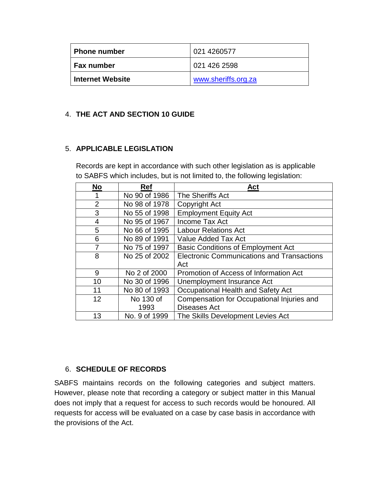| Phone number            | 021 4260577         |  |
|-------------------------|---------------------|--|
| Fax number              | 021 426 2598        |  |
| <b>Internet Website</b> | www.sheriffs.org.za |  |

#### 4. **THE ACT AND SECTION 10 GUIDE**

#### 5. **APPLICABLE LEGISLATION**

Records are kept in accordance with such other legislation as is applicable to SABFS which includes, but is not limited to, the following legislation:

| No             | <b>Ref</b>    | Act                                               |
|----------------|---------------|---------------------------------------------------|
|                | No 90 of 1986 | The Sheriffs Act                                  |
| $\overline{2}$ | No 98 of 1978 | Copyright Act                                     |
| 3              | No 55 of 1998 | <b>Employment Equity Act</b>                      |
| 4              | No 95 of 1967 | Income Tax Act                                    |
| 5              | No 66 of 1995 | <b>Labour Relations Act</b>                       |
| 6              | No 89 of 1991 | Value Added Tax Act                               |
| 7              | No 75 of 1997 | <b>Basic Conditions of Employment Act</b>         |
| 8              | No 25 of 2002 | <b>Electronic Communications and Transactions</b> |
|                |               | Act                                               |
| 9              | No 2 of 2000  | Promotion of Access of Information Act            |
| 10             | No 30 of 1996 | Unemployment Insurance Act                        |
| 11             | No 80 of 1993 | Occupational Health and Safety Act                |
| 12             | No 130 of     | Compensation for Occupational Injuries and        |
|                | 1993          | <b>Diseases Act</b>                               |
| 13             | No. 9 of 1999 | The Skills Development Levies Act                 |

#### 6. **SCHEDULE OF RECORDS**

SABFS maintains records on the following categories and subject matters. However, please note that recording a category or subject matter in this Manual does not imply that a request for access to such records would be honoured. All requests for access will be evaluated on a case by case basis in accordance with the provisions of the Act.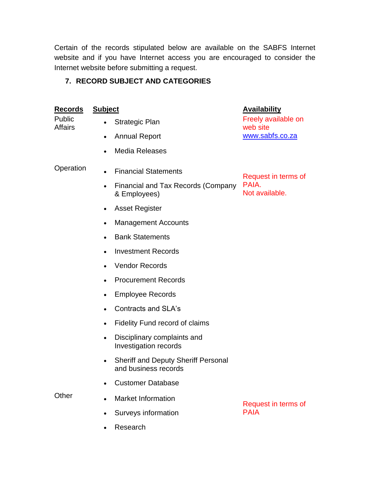Certain of the records stipulated below are available on the SABFS Internet website and if you have Internet access you are encouraged to consider the Internet website before submitting a request.

## **7. RECORD SUBJECT AND CATEGORIES**

| <b>Records</b>           | <b>Subject</b>                                                           | <b>Availability</b>                                |  |
|--------------------------|--------------------------------------------------------------------------|----------------------------------------------------|--|
| Public<br><b>Affairs</b> | Strategic Plan                                                           | Freely available on<br>web site<br>www.sabfs.co.za |  |
|                          | <b>Annual Report</b><br>$\bullet$                                        |                                                    |  |
|                          | <b>Media Releases</b>                                                    |                                                    |  |
| Operation                | <b>Financial Statements</b><br>$\bullet$                                 | Request in terms of<br>PAIA.<br>Not available.     |  |
|                          | Financial and Tax Records (Company<br>& Employees)                       |                                                    |  |
|                          | <b>Asset Register</b><br>$\bullet$                                       |                                                    |  |
|                          | <b>Management Accounts</b><br>$\bullet$                                  |                                                    |  |
|                          | <b>Bank Statements</b><br>$\bullet$                                      |                                                    |  |
|                          | <b>Investment Records</b><br>$\bullet$                                   |                                                    |  |
|                          | <b>Vendor Records</b><br>$\bullet$                                       |                                                    |  |
|                          | <b>Procurement Records</b><br>$\bullet$                                  |                                                    |  |
|                          | <b>Employee Records</b><br>$\bullet$                                     |                                                    |  |
|                          | <b>Contracts and SLA's</b><br>$\bullet$                                  |                                                    |  |
|                          | Fidelity Fund record of claims<br>$\bullet$                              |                                                    |  |
|                          | Disciplinary complaints and<br>$\bullet$<br><b>Investigation records</b> |                                                    |  |
|                          | <b>Sheriff and Deputy Sheriff Personal</b><br>and business records       |                                                    |  |
|                          | <b>Customer Database</b>                                                 |                                                    |  |
| Other                    | <b>Market Information</b>                                                | Request in terms of<br><b>PAIA</b>                 |  |
|                          | Surveys information                                                      |                                                    |  |
|                          | Research                                                                 |                                                    |  |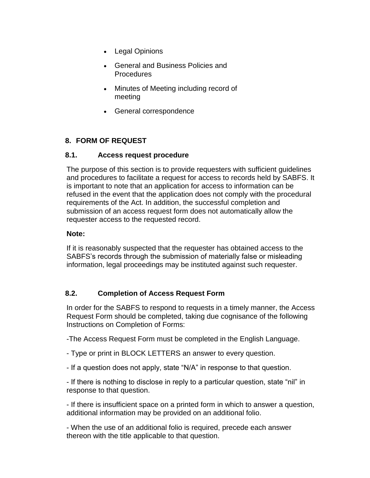- Legal Opinions
- General and Business Policies and **Procedures**
- Minutes of Meeting including record of meeting
- General correspondence

#### **8. FORM OF REQUEST**

#### **8.1. Access request procedure**

The purpose of this section is to provide requesters with sufficient guidelines and procedures to facilitate a request for access to records held by SABFS. It is important to note that an application for access to information can be refused in the event that the application does not comply with the procedural requirements of the Act. In addition, the successful completion and submission of an access request form does not automatically allow the requester access to the requested record.

#### **Note:**

If it is reasonably suspected that the requester has obtained access to the SABFS's records through the submission of materially false or misleading information, legal proceedings may be instituted against such requester.

#### **8.2. Completion of Access Request Form**

In order for the SABFS to respond to requests in a timely manner, the Access Request Form should be completed, taking due cognisance of the following Instructions on Completion of Forms:

-The Access Request Form must be completed in the English Language.

- Type or print in BLOCK LETTERS an answer to every question.
- If a question does not apply, state "N/A" in response to that question.

- If there is nothing to disclose in reply to a particular question, state "nil" in response to that question.

- If there is insufficient space on a printed form in which to answer a question, additional information may be provided on an additional folio.

- When the use of an additional folio is required, precede each answer thereon with the title applicable to that question.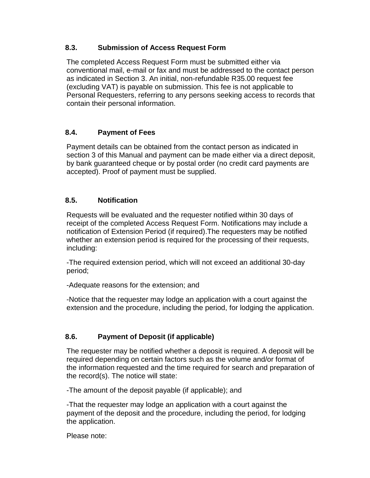#### **8.3. Submission of Access Request Form**

The completed Access Request Form must be submitted either via conventional mail, e-mail or fax and must be addressed to the contact person as indicated in Section 3. An initial, non-refundable R35.00 request fee (excluding VAT) is payable on submission. This fee is not applicable to Personal Requesters, referring to any persons seeking access to records that contain their personal information.

#### **8.4. Payment of Fees**

Payment details can be obtained from the contact person as indicated in section 3 of this Manual and payment can be made either via a direct deposit, by bank guaranteed cheque or by postal order (no credit card payments are accepted). Proof of payment must be supplied.

#### **8.5. Notification**

Requests will be evaluated and the requester notified within 30 days of receipt of the completed Access Request Form. Notifications may include a notification of Extension Period (if required).The requesters may be notified whether an extension period is required for the processing of their requests, including:

-The required extension period, which will not exceed an additional 30-day period;

-Adequate reasons for the extension; and

-Notice that the requester may lodge an application with a court against the extension and the procedure, including the period, for lodging the application.

#### **8.6. Payment of Deposit (if applicable)**

The requester may be notified whether a deposit is required. A deposit will be required depending on certain factors such as the volume and/or format of the information requested and the time required for search and preparation of the record(s). The notice will state:

-The amount of the deposit payable (if applicable); and

-That the requester may lodge an application with a court against the payment of the deposit and the procedure, including the period, for lodging the application.

Please note: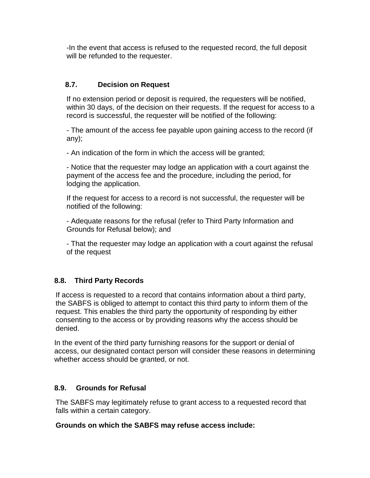-In the event that access is refused to the requested record, the full deposit will be refunded to the requester.

#### **8.7. Decision on Request**

If no extension period or deposit is required, the requesters will be notified, within 30 days, of the decision on their requests. If the request for access to a record is successful, the requester will be notified of the following:

- The amount of the access fee payable upon gaining access to the record (if any);

- An indication of the form in which the access will be granted;

- Notice that the requester may lodge an application with a court against the payment of the access fee and the procedure, including the period, for lodging the application.

If the request for access to a record is not successful, the requester will be notified of the following:

- Adequate reasons for the refusal (refer to Third Party Information and Grounds for Refusal below); and

- That the requester may lodge an application with a court against the refusal of the request

#### **8.8. Third Party Records**

If access is requested to a record that contains information about a third party, the SABFS is obliged to attempt to contact this third party to inform them of the request. This enables the third party the opportunity of responding by either consenting to the access or by providing reasons why the access should be denied.

In the event of the third party furnishing reasons for the support or denial of access, our designated contact person will consider these reasons in determining whether access should be granted, or not.

#### **8.9. Grounds for Refusal**

The SABFS may legitimately refuse to grant access to a requested record that falls within a certain category.

#### **Grounds on which the SABFS may refuse access include:**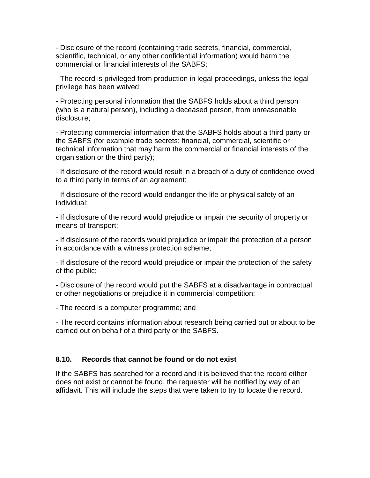- Disclosure of the record (containing trade secrets, financial, commercial, scientific, technical, or any other confidential information) would harm the commercial or financial interests of the SABFS;

- The record is privileged from production in legal proceedings, unless the legal privilege has been waived;

- Protecting personal information that the SABFS holds about a third person (who is a natural person), including a deceased person, from unreasonable disclosure;

- Protecting commercial information that the SABFS holds about a third party or the SABFS (for example trade secrets: financial, commercial, scientific or technical information that may harm the commercial or financial interests of the organisation or the third party);

- If disclosure of the record would result in a breach of a duty of confidence owed to a third party in terms of an agreement;

- If disclosure of the record would endanger the life or physical safety of an individual;

- If disclosure of the record would prejudice or impair the security of property or means of transport;

- If disclosure of the records would prejudice or impair the protection of a person in accordance with a witness protection scheme;

- If disclosure of the record would prejudice or impair the protection of the safety of the public;

- Disclosure of the record would put the SABFS at a disadvantage in contractual or other negotiations or prejudice it in commercial competition;

- The record is a computer programme; and

- The record contains information about research being carried out or about to be carried out on behalf of a third party or the SABFS.

#### **8.10. Records that cannot be found or do not exist**

If the SABFS has searched for a record and it is believed that the record either does not exist or cannot be found, the requester will be notified by way of an affidavit. This will include the steps that were taken to try to locate the record.